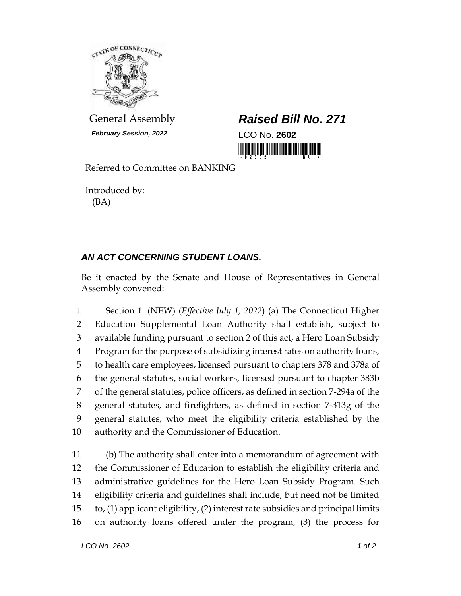

*February Session, 2022* LCO No. **2602**

General Assembly *Raised Bill No. 271*

<u> 1999 - An Dùbhlachd Marwrig Marwr a 1999 - An Dùbhlachd Marwr a 1999 - An Dùbhlachd Marwr a 1999 - An Dùbhlach</u>

Referred to Committee on BANKING

Introduced by: (BA)

## *AN ACT CONCERNING STUDENT LOANS.*

Be it enacted by the Senate and House of Representatives in General Assembly convened:

 Section 1. (NEW) (*Effective July 1, 2022*) (a) The Connecticut Higher Education Supplemental Loan Authority shall establish, subject to available funding pursuant to section 2 of this act, a Hero Loan Subsidy Program for the purpose of subsidizing interest rates on authority loans, to health care employees, licensed pursuant to chapters 378 and 378a of the general statutes, social workers, licensed pursuant to chapter 383b of the general statutes, police officers, as defined in section 7-294a of the general statutes, and firefighters, as defined in section 7-313g of the general statutes, who meet the eligibility criteria established by the authority and the Commissioner of Education.

 (b) The authority shall enter into a memorandum of agreement with the Commissioner of Education to establish the eligibility criteria and administrative guidelines for the Hero Loan Subsidy Program. Such eligibility criteria and guidelines shall include, but need not be limited to, (1) applicant eligibility, (2) interest rate subsidies and principal limits on authority loans offered under the program, (3) the process for